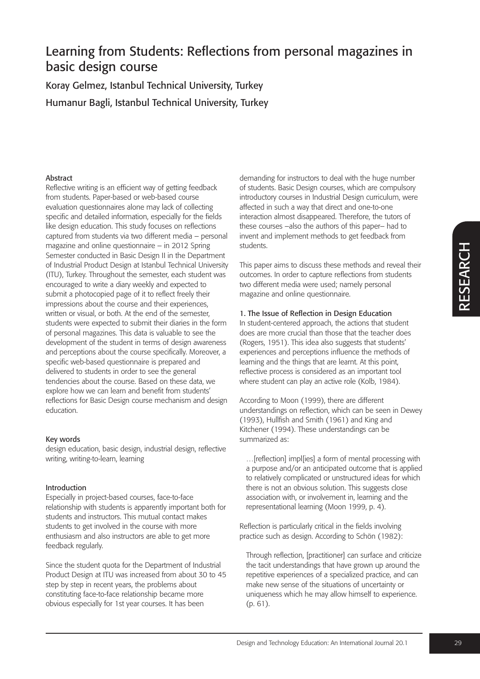$\alpha$ щ S யு  $\blacktriangleleft$  $\boldsymbol{\alpha}$  $\bigcup$ H

# Learning from Students: Reflections from personal magazines in basic design course

Koray Gelmez, Istanbul Technical University, Turkey Humanur Bagli, Istanbul Technical University, Turkey

### Abstract

Reflective writing is an efficient way of getting feedback from students. Paper-based or web-based course evaluation questionnaires alone may lack of collecting specific and detailed information, especially for the fields like design education. This study focuses on reflections captured from students via two different media – personal magazine and online questionnaire – in 2012 Spring Semester conducted in Basic Design II in the Department of Industrial Product Design at Istanbul Technical University (ITU), Turkey. Throughout the semester, each student was encouraged to write a diary weekly and expected to submit a photocopied page of it to reflect freely their impressions about the course and their experiences, written or visual, or both. At the end of the semester, students were expected to submit their diaries in the form of personal magazines. This data is valuable to see the development of the student in terms of design awareness and perceptions about the course specifically. Moreover, a specific web-based questionnaire is prepared and delivered to students in order to see the general tendencies about the course. Based on these data, we explore how we can learn and benefit from students' reflections for Basic Design course mechanism and design education.

### Key words

design education, basic design, industrial design, reflective writing, writing-to-learn, learning

### Introduction

Especially in project-based courses, face-to-face relationship with students is apparently important both for students and instructors. This mutual contact makes students to get involved in the course with more enthusiasm and also instructors are able to get more feedback regularly.

Since the student quota for the Department of Industrial Product Design at ITU was increased from about 30 to 45 step by step in recent years, the problems about constituting face-to-face relationship became more obvious especially for 1st year courses. It has been

demanding for instructors to deal with the huge number of students. Basic Design courses, which are compulsory introductory courses in Industrial Design curriculum, were affected in such a way that direct and one-to-one interaction almost disappeared. Therefore, the tutors of these courses –also the authors of this paper– had to invent and implement methods to get feedback from students.

This paper aims to discuss these methods and reveal their outcomes. In order to capture reflections from students two different media were used; namely personal magazine and online questionnaire.

### 1. The Issue of Reflection in Design Education

In student-centered approach, the actions that student does are more crucial than those that the teacher does (Rogers, 1951). This idea also suggests that students' experiences and perceptions influence the methods of learning and the things that are learnt. At this point, reflective process is considered as an important tool where student can play an active role (Kolb, 1984).

According to Moon (1999), there are different understandings on reflection, which can be seen in Dewey (1993), Hullfish and Smith (1961) and King and Kitchener (1994). These understandings can be summarized as:

…[reflection] impl[ies] a form of mental processing with a purpose and/or an anticipated outcome that is applied to relatively complicated or unstructured ideas for which there is not an obvious solution. This suggests close association with, or involvement in, learning and the representational learning (Moon 1999, p. 4).

Reflection is particularly critical in the fields involving practice such as design. According to Schön (1982):

Through reflection, [practitioner] can surface and criticize the tacit understandings that have grown up around the repetitive experiences of a specialized practice, and can make new sense of the situations of uncertainty or uniqueness which he may allow himself to experience. (p. 61).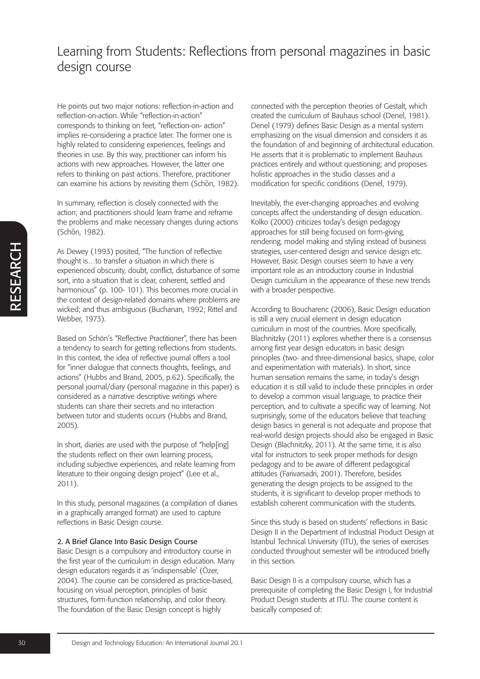He points out two major notions: reflection-in-action and reflection-on-action. While "reflection-in-action" corresponds to thinking on feet, "reflection-on- action" implies re-considering a practice later. The former one is highly related to considering experiences, feelings and theories in use. By this way, practitioner can inform his actions with new approaches. However, the latter one refers to thinking on past actions. Therefore, practitioner can examine his actions by revisiting them (Schön, 1982).

In summary, reflection is closely connected with the action; and practitioners should learn frame and reframe the problems and make necessary changes during actions (Schön, 1982).

As Dewey (1993) posited, "The function of reflective thought is…to transfer a situation in which there is experienced obscurity, doubt, conflict, disturbance of some sort, into a situation that is clear, coherent, settled and harmonious" (p. 100- 101). This becomes more crucial in the context of design-related domains where problems are wicked; and thus ambiguous (Buchanan, 1992; Rittel and Webber, 1973).

Based on Schön's "Reflective Practitioner", there has been a tendency to search for getting reflections from students. In this context, the idea of reflective journal offers a tool for "inner dialogue that connects thoughts, feelings, and actions" (Hubbs and Brand, 2005, p.62). Specifically, the personal journal/diary (personal magazine in this paper) is considered as a narrative descriptive writings where students can share their secrets and no interaction between tutor and students occurs (Hubbs and Brand, 2005).

In short, diaries are used with the purpose of "help[ing] the students reflect on their own learning process, including subjective experiences, and relate learning from literature to their ongoing design project" (Lee et al., 2011).

In this study, personal magazines (a compilation of diaries in a graphically arranged format) are used to capture reflections in Basic Design course.

#### 2. A Brief Glance Into Basic Design Course

Basic Design is a compulsory and introductory course in the first year of the curriculum in design education. Many design educators regards it as 'indispensable' (Özer, 2004). The course can be considered as practice-based, focusing on visual perception, principles of basic structures, form-function relationship, and color theory. The foundation of the Basic Design concept is highly

connected with the perception theories of Gestalt, which created the curriculum of Bauhaus school (Denel, 1981). Denel (1979) defines Basic Design as a mental system emphasizing on the visual dimension and considers it as the foundation of and beginning of architectural education. He asserts that it is problematic to implement Bauhaus practices entirely and without questioning; and proposes holistic approaches in the studio classes and a modification for specific conditions (Denel, 1979).

Inevitably, the ever-changing approaches and evolving concepts affect the understanding of design education. Kolko (2000) criticizes today's design pedagogy approaches for still being focused on form-giving, rendering, model making and styling instead of business strategies, user-centered design and service design etc. However, Basic Design courses seem to have a very important role as an introductory course in Industrial Design curriculum in the appearance of these new trends with a broader perspective.

According to Boucharenc (2006), Basic Design education is still a very crucial element in design education curriculum in most of the countries. More specifically, Blachnitzky (2011) explores whether there is a consensus among first year design educators in basic design principles (two- and three-dimensional basics, shape, color and experimentation with materials). In short, since human sensation remains the same, in today's design education it is still valid to include these principles in order to develop a common visual language, to practice their perception, and to cultivate a specific way of learning. Not surprisingly, some of the educators believe that teaching design basics in general is not adequate and propose that real-world design projects should also be engaged in Basic Design (Blachnitzky, 2011). At the same time, it is also vital for instructors to seek proper methods for design pedagogy and to be aware of different pedagogical attitudes (Farivarsadri, 2001). Therefore, besides generating the design projects to be assigned to the students, it is significant to develop proper methods to establish coherent communication with the students.

Since this study is based on students' reflections in Basic Design II in the Department of Industrial Product Design at Istanbul Technical University (ITU), the series of exercises conducted throughout semester will be introduced briefly in this section.

Basic Design II is a compulsory course, which has a prerequisite of completing the Basic Design I, for Industrial Product Design students at ITU. The course content is basically composed of: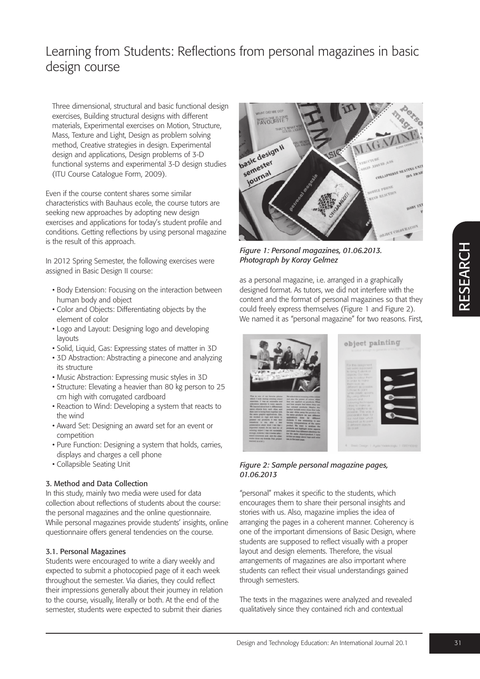Three dimensional, structural and basic functional design exercises, Building structural designs with different materials, Experimental exercises on Motion, Structure, Mass, Texture and Light, Design as problem solving method, Creative strategies in design. Experimental design and applications, Design problems of 3-D functional systems and experimental 3-D design studies (ITU Course Catalogue Form, 2009).

Even if the course content shares some similar characteristics with Bauhaus ecole, the course tutors are seeking new approaches by adopting new design exercises and applications for today's student profile and conditions. Getting reflections by using personal magazine is the result of this approach.

In 2012 Spring Semester, the following exercises were assigned in Basic Design II course:

- Body Extension: Focusing on the interaction between human body and object
- Color and Objects: Differentiating objects by the element of color
- Logo and Layout: Designing logo and developing layouts
- Solid, Liquid, Gas: Expressing states of matter in 3D
- 3D Abstraction: Abstracting a pinecone and analyzing its structure
- Music Abstraction: Expressing music styles in 3D
- Structure: Elevating a heavier than 80 kg person to 25 cm high with corrugated cardboard
- Reaction to Wind: Developing a system that reacts to the wind
- Award Set: Designing an award set for an event or competition
- Pure Function: Designing a system that holds, carries, displays and charges a cell phone
- Collapsible Seating Unit

### 3. Method and Data Collection

In this study, mainly two media were used for data collection about reflections of students about the course: the personal magazines and the online questionnaire. While personal magazines provide students' insights, online questionnaire offers general tendencies on the course.

### 3.1. Personal Magazines

Students were encouraged to write a diary weekly and expected to submit a photocopied page of it each week throughout the semester. Via diaries, they could reflect their impressions generally about their journey in relation to the course, visually, literally or both. At the end of the semester, students were expected to submit their diaries



*Figure 1: Personal magazines, 01.06.2013. Photograph by Koray Gelmez*

as a personal magazine, i.e. arranged in a graphically designed format. As tutors, we did not interfere with the content and the format of personal magazines so that they could freely express themselves (Figure 1 and Figure 2). We named it as "personal magazine" for two reasons. First,



*Figure 2: Sample personal magazine pages, 01.06.2013*

"personal" makes it specific to the students, which encourages them to share their personal insights and stories with us. Also, magazine implies the idea of arranging the pages in a coherent manner. Coherency is one of the important dimensions of Basic Design, where students are supposed to reflect visually with a proper layout and design elements. Therefore, the visual arrangements of magazines are also important where students can reflect their visual understandings gained through semesters.

The texts in the magazines were analyzed and revealed qualitatively since they contained rich and contextual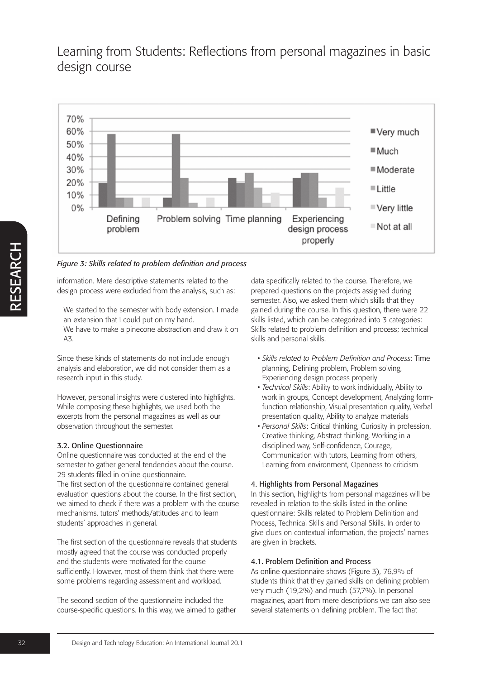

### *Figure 3: Skills related to problem definition and process*

information. Mere descriptive statements related to the design process were excluded from the analysis, such as:

We started to the semester with body extension. I made an extension that I could put on my hand.

We have to make a pinecone abstraction and draw it on A3.

Since these kinds of statements do not include enough analysis and elaboration, we did not consider them as a research input in this study.

However, personal insights were clustered into highlights. While composing these highlights, we used both the excerpts from the personal magazines as well as our observation throughout the semester.

### 3.2. Online Questionnaire

Online questionnaire was conducted at the end of the semester to gather general tendencies about the course. 29 students filled in online questionnaire. The first section of the questionnaire contained general evaluation questions about the course. In the first section, we aimed to check if there was a problem with the course mechanisms, tutors' methods/attitudes and to learn students' approaches in general.

The first section of the questionnaire reveals that students mostly agreed that the course was conducted properly and the students were motivated for the course sufficiently. However, most of them think that there were

some problems regarding assessment and workload.

The second section of the questionnaire included the course-specific questions. In this way, we aimed to gather data specifically related to the course. Therefore, we prepared questions on the projects assigned during semester. Also, we asked them which skills that they gained during the course. In this question, there were 22 skills listed, which can be categorized into 3 categories: Skills related to problem definition and process; technical skills and personal skills.

- *Skills related to Problem Definition and Process*: Time planning, Defining problem, Problem solving, Experiencing design process properly
- *Technical Skills*: Ability to work individually, Ability to work in groups, Concept development, Analyzing formfunction relationship, Visual presentation quality, Verbal presentation quality, Ability to analyze materials
- *Personal Skills*: Critical thinking, Curiosity in profession, Creative thinking, Abstract thinking, Working in a disciplined way, Self-confidence, Courage, Communication with tutors, Learning from others, Learning from environment, Openness to criticism

### 4. Highlights from Personal Magazines

In this section, highlights from personal magazines will be revealed in relation to the skills listed in the online questionnaire: Skills related to Problem Definition and Process, Technical Skills and Personal Skills. In order to give clues on contextual information, the projects' names are given in brackets.

### 4.1. Problem Definition and Process

As online questionnaire shows (Figure 3), 76,9% of students think that they gained skills on defining problem very much (19,2%) and much (57,7%). In personal magazines, apart from mere descriptions we can also see several statements on defining problem. The fact that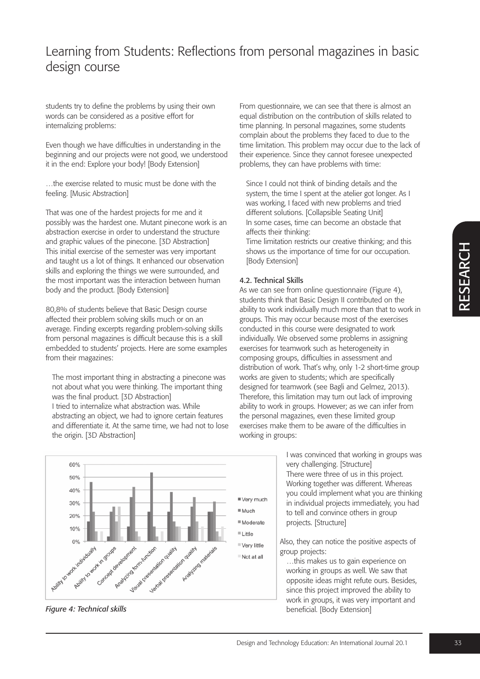$\alpha$ щ S யு  $\blacktriangleleft$  $\boldsymbol{\alpha}$  $\bigcup$ H

# Learning from Students: Reflections from personal magazines in basic design course

students try to define the problems by using their own words can be considered as a positive effort for internalizing problems:

Even though we have difficulties in understanding in the beginning and our projects were not good, we understood it in the end: Explore your body! [Body Extension]

…the exercise related to music must be done with the feeling. [Music Abstraction]

That was one of the hardest projects for me and it possibly was the hardest one. Mutant pinecone work is an abstraction exercise in order to understand the structure and graphic values of the pinecone. [3D Abstraction] This initial exercise of the semester was very important and taught us a lot of things. It enhanced our observation skills and exploring the things we were surrounded, and the most important was the interaction between human body and the product. [Body Extension]

80,8% of students believe that Basic Design course affected their problem solving skills much or on an average. Finding excerpts regarding problem-solving skills from personal magazines is difficult because this is a skill embedded to students' projects. Here are some examples from their magazines:

The most important thing in abstracting a pinecone was not about what you were thinking. The important thing was the final product. [3D Abstraction] I tried to internalize what abstraction was. While abstracting an object, we had to ignore certain features and differentiate it. At the same time, we had not to lose the origin. [3D Abstraction]

From questionnaire, we can see that there is almost an equal distribution on the contribution of skills related to time planning. In personal magazines, some students complain about the problems they faced to due to the time limitation. This problem may occur due to the lack of their experience. Since they cannot foresee unexpected problems, they can have problems with time:

Since I could not think of binding details and the system, the time I spent at the atelier got longer. As I was working, I faced with new problems and tried different solutions. [Collapsible Seating Unit] In some cases, time can become an obstacle that affects their thinking:

Time limitation restricts our creative thinking; and this shows us the importance of time for our occupation. [Body Extension]

#### 4.2. Technical Skills

As we can see from online questionnaire (Figure 4), students think that Basic Design II contributed on the ability to work individually much more than that to work in groups. This may occur because most of the exercises conducted in this course were designated to work individually. We observed some problems in assigning exercises for teamwork such as heterogeneity in composing groups, difficulties in assessment and distribution of work. That's why, only 1-2 short-time group works are given to students; which are specifically designed for teamwork (see Bagli and Gelmez, 2013). Therefore, this limitation may turn out lack of improving ability to work in groups. However; as we can infer from the personal magazines, even these limited group exercises make them to be aware of the difficulties in working in groups:

> I was convinced that working in groups was very challenging. [Structure] There were three of us in this project. Working together was different. Whereas you could implement what you are thinking in individual projects immediately, you had to tell and convince others in group projects. [Structure]

Also, they can notice the positive aspects of group projects:

…this makes us to gain experience on working in groups as well. We saw that opposite ideas might refute ours. Besides, since this project improved the ability to work in groups, it was very important and beneficial. [Body Extension]



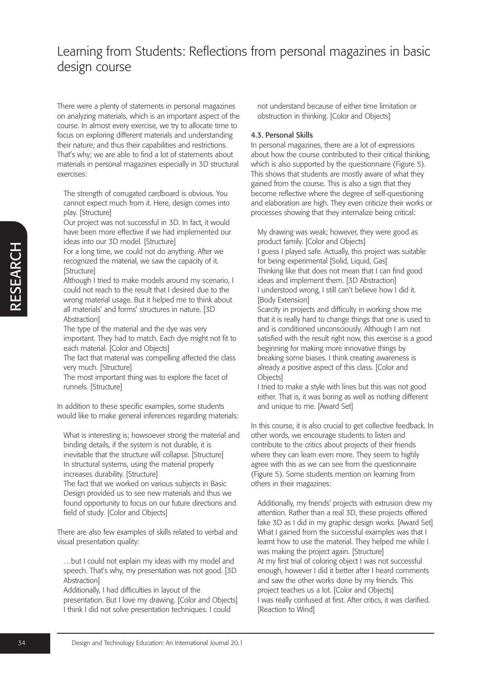There were a plenty of statements in personal magazines on analyzing materials, which is an important aspect of the course. In almost every exercise, we try to allocate time to focus on exploring different materials and understanding their nature; and thus their capabilities and restrictions. That's why; we are able to find a lot of statements about materials in personal magazines especially in 3D structural exercises:

The strength of corrugated cardboard is obvious. You cannot expect much from it. Here, design comes into play. [Structure]

Our project was not successful in 3D. In fact, it would have been more effective if we had implemented our ideas into our 3D model. [Structure]

For a long time, we could not do anything. After we recognized the material, we saw the capacity of it. [Structure]

Although I tried to make models around my scenario, I could not reach to the result that I desired due to the wrong material usage. But it helped me to think about all materials' and forms' structures in nature. [3D **Abstraction** 

The type of the material and the dye was very important. They had to match. Each dye might not fit to each material. [Color and Objects]

The fact that material was compelling affected the class very much. [Structure]

The most important thing was to explore the facet of runnels. [Structure]

In addition to these specific examples, some students would like to make general inferences regarding materials:

What is interesting is; howsoever strong the material and binding details, if the system is not durable, it is inevitable that the structure will collapse. [Structure] In structural systems, using the material properly increases durability. [Structure]

The fact that we worked on various subjects in Basic Design provided us to see new materials and thus we found opportunity to focus on our future directions and field of study. [Color and Objects]

There are also few examples of skills related to verbal and visual presentation quality:

…but I could not explain my ideas with my model and speech. That's why, my presentation was not good. [3D Abstraction]

Additionally, I had difficulties in layout of the presentation. But I love my drawing. [Color and Objects] I think I did not solve presentation techniques. I could

not understand because of either time limitation or obstruction in thinking. [Color and Objects]

#### 4.3. Personal Skills

In personal magazines, there are a lot of expressions about how the course contributed to their critical thinking, which is also supported by the questionnaire (Figure 5). This shows that students are mostly aware of what they gained from the course. This is also a sign that they become reflective where the degree of self-questioning and elaboration are high. They even criticize their works or processes showing that they internalize being critical:

My drawing was weak; however, they were good as product family. [Color and Objects] I guess I played safe. Actually, this project was suitable for being experimental [Solid, Liquid, Gas] Thinking like that does not mean that I can find good ideas and implement them. [3D Abstraction] I understood wrong, I still can't believe how I did it. [Body Extension]

Scarcity in projects and difficulty in working show me that it is really hard to change things that one is used to and is conditioned unconsciously. Although I am not satisfied with the result right now, this exercise is a good beginning for making more innovative things by breaking some biases. I think creating awareness is already a positive aspect of this class. [Color and **Objects** 

I tried to make a style with lines but this was not good either. That is, it was boring as well as nothing different and unique to me. [Award Set]

In this course, it is also crucial to get collective feedback. In other words, we encourage students to listen and contribute to the critics about projects of their friends where they can learn even more. They seem to highly agree with this as we can see from the questionnaire (Figure 5). Some students mention on learning from others in their magazines:

Additionally, my friends' projects with extrusion drew my attention. Rather than a real 3D, these projects offered fake 3D as I did in my graphic design works. [Award Set] What I gained from the successful examples was that I learnt how to use the material. They helped me while I was making the project again. [Structure] At my first trial of coloring object I was not successful enough, however I did it better after I heard comments and saw the other works done by my friends. This project teaches us a lot. [Color and Objects] I was really confused at first. After critics, it was clarified. [Reaction to Wind]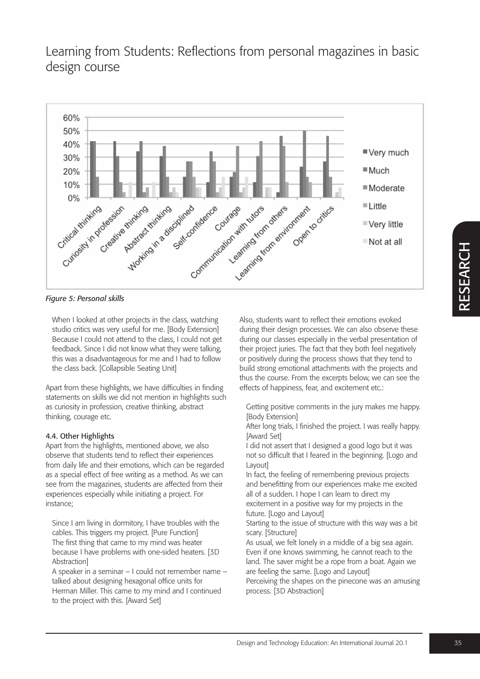

*Figure 5: Personal skills*

When I looked at other projects in the class, watching studio critics was very useful for me. [Body Extension] Because I could not attend to the class, I could not get feedback. Since I did not know what they were talking, this was a disadvantageous for me and I had to follow the class back. [Collapsible Seating Unit]

Apart from these highlights, we have difficulties in finding statements on skills we did not mention in highlights such as curiosity in profession, creative thinking, abstract thinking, courage etc.

### 4.4. Other Highlights

Apart from the highlights, mentioned above, we also observe that students tend to reflect their experiences from daily life and their emotions, which can be regarded as a special effect of free writing as a method. As we can see from the magazines, students are affected from their experiences especially while initiating a project. For instance;

Since I am living in dormitory, I have troubles with the cables. This triggers my project. [Pure Function] The first thing that came to my mind was heater because I have problems with one-sided heaters. [3D Abstraction]

A speaker in a seminar – I could not remember name – talked about designing hexagonal office units for Herman Miller. This came to my mind and I continued to the project with this. [Award Set]

Also, students want to reflect their emotions evoked during their design processes. We can also observe these during our classes especially in the verbal presentation of their project juries. The fact that they both feel negatively or positively during the process shows that they tend to build strong emotional attachments with the projects and thus the course. From the excerpts below, we can see the effects of happiness, fear, and excitement etc.:

Getting positive comments in the jury makes me happy. [Body Extension]

After long trials, I finished the project. I was really happy. [Award Set]

I did not assert that I designed a good logo but it was not so difficult that I feared in the beginning. [Logo and Layout]

In fact, the feeling of remembering previous projects and benefitting from our experiences make me excited all of a sudden. I hope I can learn to direct my excitement in a positive way for my projects in the future. [Logo and Layout]

Starting to the issue of structure with this way was a bit scary. [Structure]

As usual, we felt lonely in a middle of a big sea again. Even if one knows swimming, he cannot reach to the land. The saver might be a rope from a boat. Again we are feeling the same. [Logo and Layout]

Perceiving the shapes on the pinecone was an amusing process. [3D Abstraction]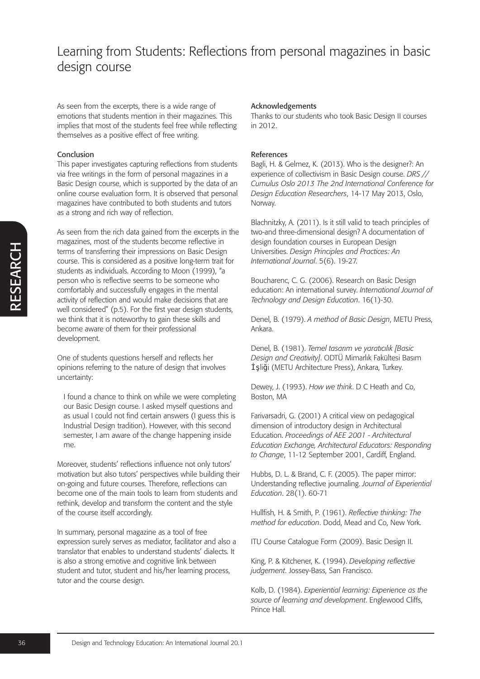As seen from the excerpts, there is a wide range of emotions that students mention in their magazines. This implies that most of the students feel free while reflecting themselves as a positive effect of free writing.

#### Conclusion

This paper investigates capturing reflections from students via free writings in the form of personal magazines in a Basic Design course, which is supported by the data of an online course evaluation form. It is observed that personal magazines have contributed to both students and tutors as a strong and rich way of reflection.

As seen from the rich data gained from the excerpts in the magazines, most of the students become reflective in terms of transferring their impressions on Basic Design course. This is considered as a positive long-term trait for students as individuals. According to Moon (1999), "a person who is reflective seems to be someone who comfortably and successfully engages in the mental activity of reflection and would make decisions that are well considered" (p.5). For the first year design students, we think that it is noteworthy to gain these skills and become aware of them for their professional development.

One of students questions herself and reflects her opinions referring to the nature of design that involves uncertainty:

I found a chance to think on while we were completing our Basic Design course. I asked myself questions and as usual I could not find certain answers (I guess this is Industrial Design tradition). However, with this second semester, I am aware of the change happening inside me.

Moreover, students' reflections influence not only tutors' motivation but also tutors' perspectives while building their on-going and future courses. Therefore, reflections can become one of the main tools to learn from students and rethink, develop and transform the content and the style of the course itself accordingly.

In summary, personal magazine as a tool of free expression surely serves as mediator, facilitator and also a translator that enables to understand students' dialects. It is also a strong emotive and cognitive link between student and tutor, student and his/her learning process, tutor and the course design.

#### Acknowledgements

Thanks to our students who took Basic Design II courses in 2012.

#### References

Bagli, H. & Gelmez, K. (2013). Who is the designer?: An experience of collectivism in Basic Design course. *DRS // Cumulus Oslo 2013 The 2nd International Conference for Design Education Researchers*, 14-17 May 2013, Oslo, Norway.

Blachnitzky, A. (2011). Is it still valid to teach principles of two-and three-dimensional design? A documentation of design foundation courses in European Design Universities. *Design Principles and Practices: An International Journal*. 5(6). 19-27.

Boucharenc, C. G. (2006). Research on Basic Design education: An international survey. *International Journal of Technology and Design Education*. 16(1)-30.

Denel, B. (1979). *A method of Basic Design*, METU Press, Ankara.

Denel, B. (1981). *Temel tasarım ve yaratıcılık [Basic Design and Creativity]*. ODTÜ Mimarlık Fakültesi Basım İşliği (METU Architecture Press), Ankara, Turkey.

Dewey, J. (1993). *How we think*. D C Heath and Co, Boston, MA

Farivarsadri, G. (2001) A critical view on pedagogical dimension of introductory design in Architectural Education. *Proceedings of AEE 2001 - Architectural Education Exchange, Architectural Educators: Responding to Change*, 11-12 September 2001, Cardiff, England.

Hubbs, D. L. & Brand, C. F. (2005). The paper mirror: Understanding reflective journaling. *Journal of Experiential Education*. 28(1). 60-71

Hullfish, H. & Smith, P. (1961). *Reflective thinking: The method for education*. Dodd, Mead and Co, New York.

ITU Course Catalogue Form (2009). Basic Design II.

King, P. & Kitchener, K. (1994). *Developing reflective judgement*. Jossey-Bass, San Francisco.

Kolb, D. (1984). *Experiential learning: Experience as the source of learning and development*. Englewood Cliffs, Prince Hall.